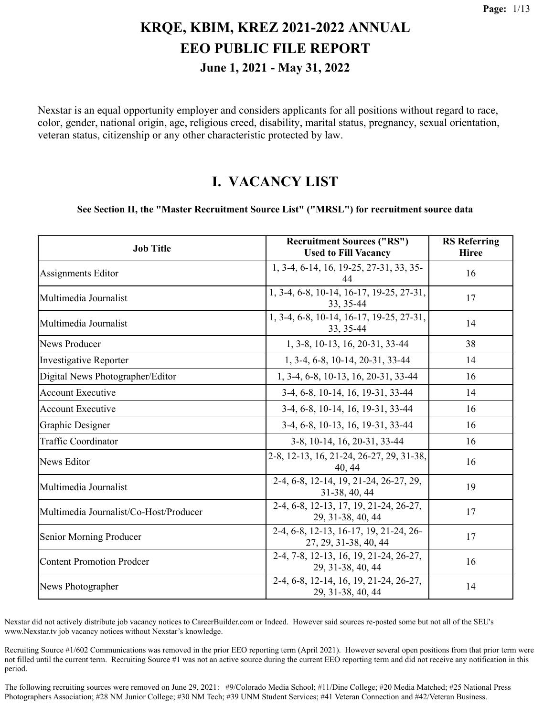Nexstar is an equal opportunity employer and considers applicants for all positions without regard to race, color, gender, national origin, age, religious creed, disability, marital status, pregnancy, sexual orientation, veteran status, citizenship or any other characteristic protected by law.

#### **I. VACANCY LIST**

#### **See Section II, the "Master Recruitment Source List" ("MRSL") for recruitment source data**

| <b>Job Title</b>                       | <b>Recruitment Sources ("RS")</b><br><b>Used to Fill Vacancy</b> | <b>RS</b> Referring<br><b>Hiree</b> |
|----------------------------------------|------------------------------------------------------------------|-------------------------------------|
| Assignments Editor                     | 1, 3-4, 6-14, 16, 19-25, 27-31, 33, 35-<br>44                    | 16                                  |
| Multimedia Journalist                  | 1, 3-4, 6-8, 10-14, 16-17, 19-25, 27-31,<br>33, 35-44            | 17                                  |
| Multimedia Journalist                  | 1, 3-4, 6-8, 10-14, 16-17, 19-25, 27-31,<br>33, 35-44            | 14                                  |
| <b>News Producer</b>                   | 1, 3-8, 10-13, 16, 20-31, 33-44                                  | 38                                  |
| <b>Investigative Reporter</b>          | 1, 3-4, 6-8, 10-14, 20-31, 33-44                                 | 14                                  |
| Digital News Photographer/Editor       | 1, 3-4, 6-8, 10-13, 16, 20-31, 33-44                             | 16                                  |
| <b>Account Executive</b>               | 3-4, 6-8, 10-14, 16, 19-31, 33-44                                | 14                                  |
| <b>Account Executive</b>               | 3-4, 6-8, 10-14, 16, 19-31, 33-44                                | 16                                  |
| Graphic Designer                       | 3-4, 6-8, 10-13, 16, 19-31, 33-44                                | 16                                  |
| <b>Traffic Coordinator</b>             | 3-8, 10-14, 16, 20-31, 33-44                                     | 16                                  |
| News Editor                            | 2-8, 12-13, 16, 21-24, 26-27, 29, 31-38,<br>40, 44               | 16                                  |
| Multimedia Journalist                  | 2-4, 6-8, 12-14, 19, 21-24, 26-27, 29,<br>31-38, 40, 44          | 19                                  |
| Multimedia Journalist/Co-Host/Producer | 2-4, 6-8, 12-13, 17, 19, 21-24, 26-27,<br>29, 31-38, 40, 44      | 17                                  |
| Senior Morning Producer                | 2-4, 6-8, 12-13, 16-17, 19, 21-24, 26-<br>27, 29, 31-38, 40, 44  | 17                                  |
| <b>Content Promotion Prodcer</b>       | 2-4, 7-8, 12-13, 16, 19, 21-24, 26-27,<br>29, 31-38, 40, 44      | 16                                  |
| News Photographer                      | 2-4, 6-8, 12-14, 16, 19, 21-24, 26-27,<br>29, 31-38, 40, 44      | 14                                  |

Nexstar did not actively distribute job vacancy notices to CareerBuilder.com or Indeed. However said sources re-posted some but not all of the SEU's www.Nexstar.tv job vacancy notices without Nexstar's knowledge.

Recruiting Source #1/602 Communications was removed in the prior EEO reporting term (April 2021). However several open positions from that prior term were not filled until the current term. Recruiting Source #1 was not an active source during the current EEO reporting term and did not receive any notification in this period.

The following recruiting sources were removed on June 29, 2021: #9/Colorado Media School; #11/Dine College; #20 Media Matched; #25 National Press Photographers Association; #28 NM Junior College; #30 NM Tech; #39 UNM Student Services; #41 Veteran Connection and #42/Veteran Business.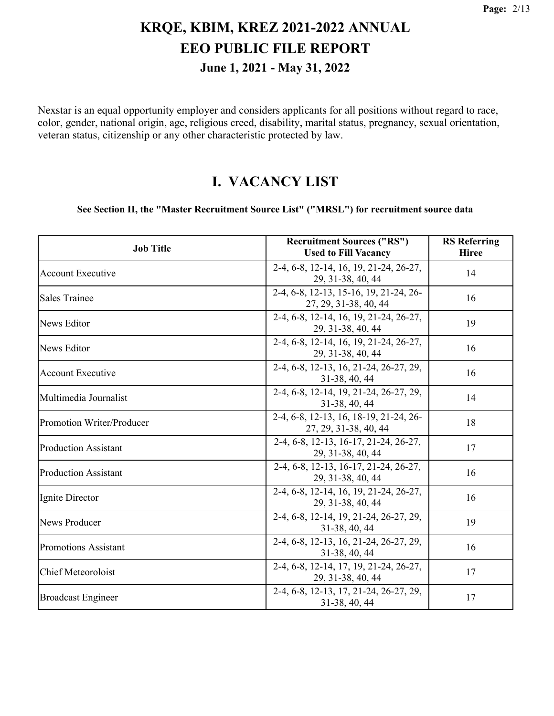Nexstar is an equal opportunity employer and considers applicants for all positions without regard to race, color, gender, national origin, age, religious creed, disability, marital status, pregnancy, sexual orientation, veteran status, citizenship or any other characteristic protected by law.

#### **I. VACANCY LIST**

#### **See Section II, the "Master Recruitment Source List" ("MRSL") for recruitment source data**

| <b>Job Title</b>            | <b>Recruitment Sources ("RS")</b><br><b>Used to Fill Vacancy</b> | <b>RS</b> Referring<br><b>Hiree</b> |
|-----------------------------|------------------------------------------------------------------|-------------------------------------|
| <b>Account Executive</b>    | 2-4, 6-8, 12-14, 16, 19, 21-24, 26-27,<br>29, 31-38, 40, 44      | 14                                  |
| <b>Sales Trainee</b>        | 2-4, 6-8, 12-13, 15-16, 19, 21-24, 26-<br>27, 29, 31-38, 40, 44  | 16                                  |
| <b>News Editor</b>          | 2-4, 6-8, 12-14, 16, 19, 21-24, 26-27,<br>29, 31-38, 40, 44      | 19                                  |
| News Editor                 | 2-4, 6-8, 12-14, 16, 19, 21-24, 26-27,<br>29, 31-38, 40, 44      | 16                                  |
| <b>Account Executive</b>    | 2-4, 6-8, 12-13, 16, 21-24, 26-27, 29,<br>31-38, 40, 44          | 16                                  |
| Multimedia Journalist       | 2-4, 6-8, 12-14, 19, 21-24, 26-27, 29,<br>31-38, 40, 44          | 14                                  |
| Promotion Writer/Producer   | 2-4, 6-8, 12-13, 16, 18-19, 21-24, 26-<br>27, 29, 31-38, 40, 44  | 18                                  |
| <b>Production Assistant</b> | 2-4, 6-8, 12-13, 16-17, 21-24, 26-27,<br>29, 31-38, 40, 44       | 17                                  |
| <b>Production Assistant</b> | 2-4, 6-8, 12-13, 16-17, 21-24, 26-27,<br>29, 31-38, 40, 44       | 16                                  |
| Ignite Director             | 2-4, 6-8, 12-14, 16, 19, 21-24, 26-27,<br>29, 31-38, 40, 44      | 16                                  |
| <b>News Producer</b>        | 2-4, 6-8, 12-14, 19, 21-24, 26-27, 29,<br>31-38, 40, 44          | 19                                  |
| <b>Promotions Assistant</b> | 2-4, 6-8, 12-13, 16, 21-24, 26-27, 29,<br>31-38, 40, 44          | 16                                  |
| Chief Meteoroloist          | 2-4, 6-8, 12-14, 17, 19, 21-24, 26-27,<br>29, 31-38, 40, 44      | 17                                  |
| <b>Broadcast Engineer</b>   | 2-4, 6-8, 12-13, 17, 21-24, 26-27, 29,<br>31-38, 40, 44          | 17                                  |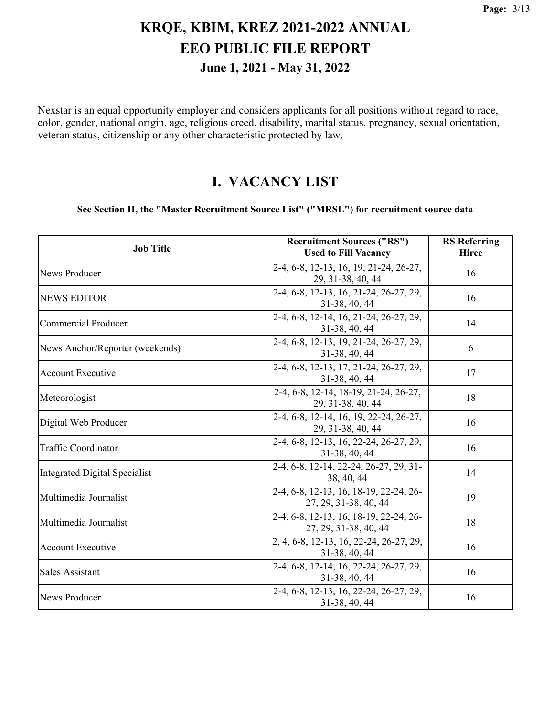Nexstar is an equal opportunity employer and considers applicants for all positions without regard to race, color, gender, national origin, age, religious creed, disability, marital status, pregnancy, sexual orientation, veteran status, citizenship or any other characteristic protected by law.

#### **I. VACANCY LIST**

#### **See Section II, the "Master Recruitment Source List" ("MRSL") for recruitment source data**

| <b>Job Title</b>                | <b>Recruitment Sources ("RS")</b><br><b>Used to Fill Vacancy</b> | <b>RS</b> Referring<br><b>Hiree</b> |
|---------------------------------|------------------------------------------------------------------|-------------------------------------|
| News Producer                   | 2-4, 6-8, 12-13, 16, 19, 21-24, 26-27,<br>29, 31-38, 40, 44      | 16                                  |
| <b>NEWS EDITOR</b>              | 2-4, 6-8, 12-13, 16, 21-24, 26-27, 29,<br>31-38, 40, 44          | 16                                  |
| <b>Commercial Producer</b>      | 2-4, 6-8, 12-14, 16, 21-24, 26-27, 29,<br>31-38, 40, 44          | 14                                  |
| News Anchor/Reporter (weekends) | 2-4, 6-8, 12-13, 19, 21-24, 26-27, 29,<br>31-38, 40, 44          | 6                                   |
| <b>Account Executive</b>        | 2-4, 6-8, 12-13, 17, 21-24, 26-27, 29,<br>31-38, 40, 44          | 17                                  |
| Meteorologist                   | 2-4, 6-8, 12-14, 18-19, 21-24, 26-27,<br>29, 31-38, 40, 44       | 18                                  |
| Digital Web Producer            | 2-4, 6-8, 12-14, 16, 19, 22-24, 26-27,<br>29, 31-38, 40, 44      | 16                                  |
| <b>Traffic Coordinator</b>      | 2-4, 6-8, 12-13, 16, 22-24, 26-27, 29,<br>31-38, 40, 44          | 16                                  |
| Integrated Digital Specialist   | 2-4, 6-8, 12-14, 22-24, 26-27, 29, 31-<br>38, 40, 44             | 14                                  |
| Multimedia Journalist           | 2-4, 6-8, 12-13, 16, 18-19, 22-24, 26-<br>27, 29, 31-38, 40, 44  | 19                                  |
| Multimedia Journalist           | 2-4, 6-8, 12-13, 16, 18-19, 22-24, 26-<br>27, 29, 31-38, 40, 44  | 18                                  |
| <b>Account Executive</b>        | 2, 4, 6-8, 12-13, 16, 22-24, 26-27, 29,<br>31-38, 40, 44         | 16                                  |
| <b>Sales Assistant</b>          | 2-4, 6-8, 12-14, 16, 22-24, 26-27, 29,<br>31-38, 40, 44          | 16                                  |
| News Producer                   | 2-4, 6-8, 12-13, 16, 22-24, 26-27, 29,<br>31-38, 40, 44          | 16                                  |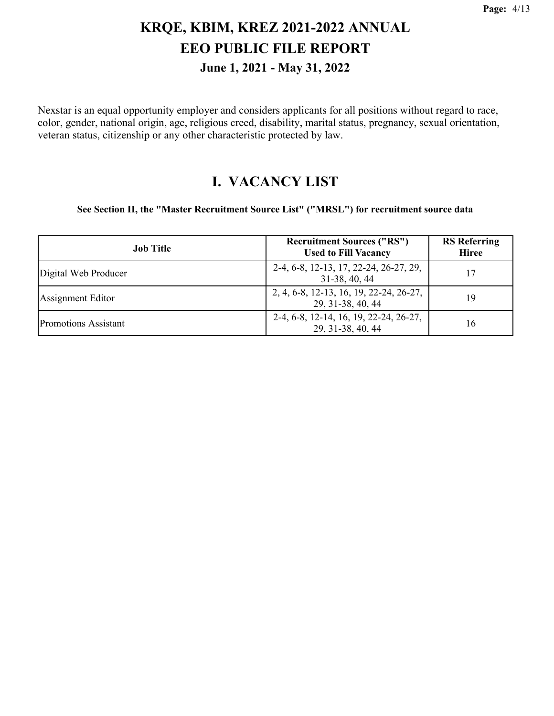Nexstar is an equal opportunity employer and considers applicants for all positions without regard to race, color, gender, national origin, age, religious creed, disability, marital status, pregnancy, sexual orientation, veteran status, citizenship or any other characteristic protected by law.

#### **I. VACANCY LIST**

**See Section II, the "Master Recruitment Source List" ("MRSL") for recruitment source data**

| <b>Job Title</b>            | <b>Recruitment Sources ("RS")</b><br><b>Used to Fill Vacancy</b> | <b>RS</b> Referring<br><b>Hiree</b> |
|-----------------------------|------------------------------------------------------------------|-------------------------------------|
| Digital Web Producer        | 2-4, 6-8, 12-13, 17, 22-24, 26-27, 29,<br>31-38, 40, 44          | 17                                  |
| Assignment Editor           | 2, 4, 6-8, 12-13, 16, 19, 22-24, 26-27,<br>29, 31-38, 40, 44     | 19                                  |
| <b>Promotions Assistant</b> | 2-4, 6-8, 12-14, 16, 19, 22-24, 26-27,<br>29, 31-38, 40, 44      | 16                                  |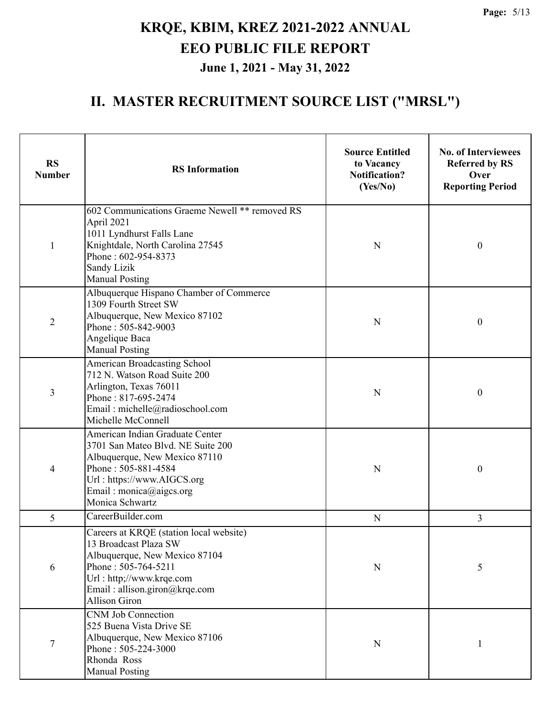| <b>RS</b><br><b>Number</b> | <b>RS</b> Information                                                                                                                                                                                         | <b>Source Entitled</b><br>to Vacancy<br><b>Notification?</b><br>(Yes/No) | <b>No. of Interviewees</b><br><b>Referred by RS</b><br>Over<br><b>Reporting Period</b> |
|----------------------------|---------------------------------------------------------------------------------------------------------------------------------------------------------------------------------------------------------------|--------------------------------------------------------------------------|----------------------------------------------------------------------------------------|
| $\mathbf{1}$               | 602 Communications Graeme Newell ** removed RS<br>April 2021<br>1011 Lyndhurst Falls Lane<br>Knightdale, North Carolina 27545<br>Phone: 602-954-8373<br>Sandy Lizik<br><b>Manual Posting</b>                  | N                                                                        | $\boldsymbol{0}$                                                                       |
| 2                          | Albuquerque Hispano Chamber of Commerce<br>1309 Fourth Street SW<br>Albuquerque, New Mexico 87102<br>Phone: 505-842-9003<br>Angelique Baca<br><b>Manual Posting</b>                                           | N                                                                        | $\boldsymbol{0}$                                                                       |
| 3                          | American Broadcasting School<br>712 N. Watson Road Suite 200<br>Arlington, Texas 76011<br>Phone: 817-695-2474<br>Email: michelle@radioschool.com<br>Michelle McConnell                                        | N                                                                        | $\boldsymbol{0}$                                                                       |
| 4                          | American Indian Graduate Center<br>3701 San Mateo Blvd. NE Suite 200<br>Albuquerque, New Mexico 87110<br>Phone: 505-881-4584<br>Url: https://www.AIGCS.org<br>Email: monica@aigcs.org<br>Monica Schwartz      | N                                                                        | $\boldsymbol{0}$                                                                       |
| 5                          | CareerBuilder.com                                                                                                                                                                                             | N                                                                        | 3                                                                                      |
| 6                          | Careers at KRQE (station local website)<br>13 Broadcast Plaza SW<br>Albuquerque, New Mexico 87104<br>Phone: 505-764-5211<br>Url: http;//www.krqe.com<br>Email: allison.giron@krqe.com<br><b>Allison Giron</b> | N                                                                        | 5                                                                                      |
| $\boldsymbol{7}$           | <b>CNM Job Connection</b><br>525 Buena Vista Drive SE<br>Albuquerque, New Mexico 87106<br>Phone: 505-224-3000<br>Rhonda Ross<br><b>Manual Posting</b>                                                         | N                                                                        | 1                                                                                      |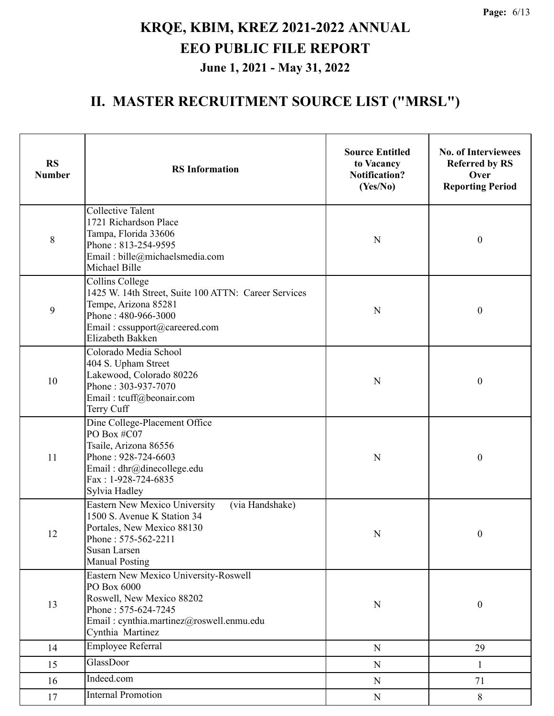| <b>RS</b><br><b>Number</b> | <b>RS</b> Information                                                                                                                                                         | <b>Source Entitled</b><br>to Vacancy<br><b>Notification?</b><br>(Yes/No) | <b>No. of Interviewees</b><br><b>Referred by RS</b><br>Over<br><b>Reporting Period</b> |
|----------------------------|-------------------------------------------------------------------------------------------------------------------------------------------------------------------------------|--------------------------------------------------------------------------|----------------------------------------------------------------------------------------|
| $8\,$                      | <b>Collective Talent</b><br>1721 Richardson Place<br>Tampa, Florida 33606<br>Phone: 813-254-9595<br>Email: bille@michaelsmedia.com<br>Michael Bille                           | N                                                                        | $\boldsymbol{0}$                                                                       |
| 9                          | Collins College<br>1425 W. 14th Street, Suite 100 ATTN: Career Services<br>Tempe, Arizona 85281<br>Phone: 480-966-3000<br>Email: cssupport@careered.com<br>Elizabeth Bakken   | N                                                                        | $\boldsymbol{0}$                                                                       |
| 10                         | Colorado Media School<br>404 S. Upham Street<br>Lakewood, Colorado 80226<br>Phone: 303-937-7070<br>Email: tcuff@beonair.com<br>Terry Cuff                                     |                                                                          | $\boldsymbol{0}$                                                                       |
| 11                         | Dine College-Placement Office<br>PO Box #C07<br>Tsaile, Arizona 86556<br>Phone: 928-724-6603<br>Email: dhr@dinecollege.edu<br>Fax: 1-928-724-6835<br>Sylvia Hadley            | $\mathbf N$                                                              | $\boldsymbol{0}$                                                                       |
| 12                         | Eastern New Mexico University<br>(via Handshake)<br>1500 S. Avenue K Station 34<br>Portales, New Mexico 88130<br>Phone: 575-562-2211<br>Susan Larsen<br><b>Manual Posting</b> | ${\bf N}$                                                                | $\boldsymbol{0}$                                                                       |
| 13                         | Eastern New Mexico University-Roswell<br>PO Box 6000<br>Roswell, New Mexico 88202<br>Phone: 575-624-7245<br>Email: cynthia.martinez@roswell.enmu.edu<br>Cynthia Martinez      | $\mathbf N$                                                              | $\boldsymbol{0}$                                                                       |
| 14                         | Employee Referral                                                                                                                                                             | ${\bf N}$                                                                | 29                                                                                     |
| 15                         | GlassDoor                                                                                                                                                                     | ${\bf N}$                                                                | 1                                                                                      |
| 16                         | Indeed.com                                                                                                                                                                    | ${\bf N}$                                                                | 71                                                                                     |
| 17                         | <b>Internal Promotion</b>                                                                                                                                                     | ${\bf N}$                                                                | 8                                                                                      |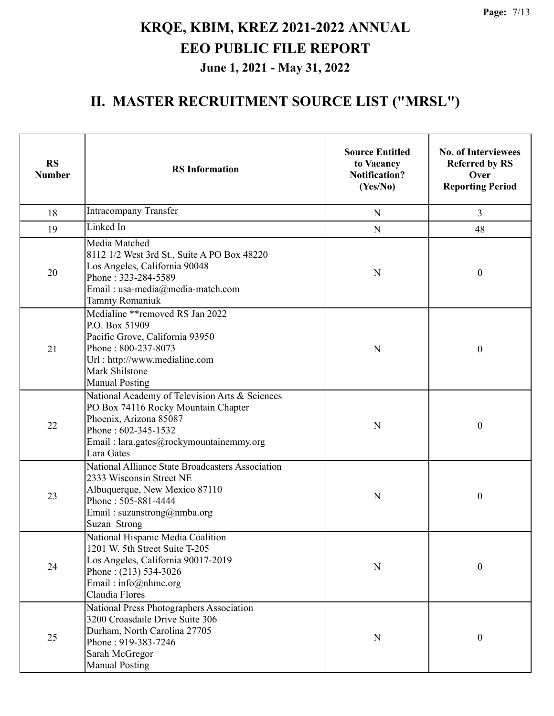| <b>RS</b><br><b>Number</b> | <b>RS</b> Information                                                                                                                                                                           | <b>Source Entitled</b><br>to Vacancy<br><b>Notification?</b><br>(Yes/No) | <b>No. of Interviewees</b><br><b>Referred by RS</b><br>Over<br><b>Reporting Period</b> |
|----------------------------|-------------------------------------------------------------------------------------------------------------------------------------------------------------------------------------------------|--------------------------------------------------------------------------|----------------------------------------------------------------------------------------|
| 18                         | <b>Intracompany Transfer</b>                                                                                                                                                                    | N                                                                        | 3                                                                                      |
| 19                         | Linked In                                                                                                                                                                                       | $\mathbf N$                                                              | 48                                                                                     |
| 20                         | Media Matched<br>8112 1/2 West 3rd St., Suite A PO Box 48220<br>Los Angeles, California 90048<br>Phone: 323-284-5589<br>Email: usa-media@media-match.com<br>Tammy Romaniuk                      | N                                                                        | $\boldsymbol{0}$                                                                       |
| 21                         | Medialine ** removed RS Jan 2022<br>P.O. Box 51909<br>Pacific Grove, California 93950<br>Phone: 800-237-8073<br>Url: http://www.medialine.com<br>Mark Shilstone<br><b>Manual Posting</b>        | N                                                                        | $\boldsymbol{0}$                                                                       |
| 22                         | National Academy of Television Arts & Sciences<br>PO Box 74116 Rocky Mountain Chapter<br>Phoenix, Arizona 85087<br>Phone: 602-345-1532<br>Email: lara.gates@rockymountainemmy.org<br>Lara Gates | $\mathbf N$                                                              | $\boldsymbol{0}$                                                                       |
| 23                         | National Alliance State Broadcasters Association<br>2333 Wisconsin Street NE<br>Albuquerque, New Mexico 87110<br>Phone: 505-881-4444<br>Email: suzanstrong@nmba.org<br>Suzan Strong             | $\mathbf N$                                                              | $\boldsymbol{0}$                                                                       |
| 24                         | National Hispanic Media Coalition<br>1201 W. 5th Street Suite T-205<br>Los Angeles, California 90017-2019<br>Phone: $(213)$ 534-3026<br>Email: info@nhmc.org<br>Claudia Flores                  | ${\bf N}$                                                                | $\boldsymbol{0}$                                                                       |
| 25                         | National Press Photographers Association<br>3200 Croasdaile Drive Suite 306<br>Durham, North Carolina 27705<br>Phone: 919-383-7246<br>Sarah McGregor<br><b>Manual Posting</b>                   | ${\bf N}$                                                                | $\boldsymbol{0}$                                                                       |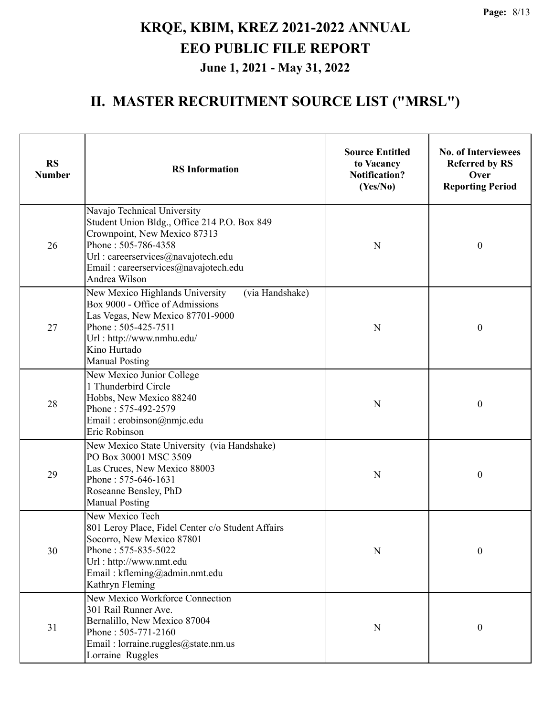| <b>RS</b><br><b>Number</b> | <b>RS</b> Information                                                                                                                                                                                                              | <b>Source Entitled</b><br>to Vacancy<br><b>Notification?</b><br>(Yes/No) | <b>No. of Interviewees</b><br><b>Referred by RS</b><br>Over<br><b>Reporting Period</b> |
|----------------------------|------------------------------------------------------------------------------------------------------------------------------------------------------------------------------------------------------------------------------------|--------------------------------------------------------------------------|----------------------------------------------------------------------------------------|
| 26                         | Navajo Technical University<br>Student Union Bldg., Office 214 P.O. Box 849<br>Crownpoint, New Mexico 87313<br>Phone: 505-786-4358<br>Url : careerservices@navajotech.edu<br>Email: careerservices@navajotech.edu<br>Andrea Wilson | N                                                                        | $\boldsymbol{0}$                                                                       |
| 27                         | New Mexico Highlands University<br>(via Handshake)<br>Box 9000 - Office of Admissions<br>Las Vegas, New Mexico 87701-9000<br>Phone: 505-425-7511<br>Url: http://www.nmhu.edu/<br>Kino Hurtado<br><b>Manual Posting</b>             | N                                                                        | $\boldsymbol{0}$                                                                       |
| 28                         | New Mexico Junior College<br>1 Thunderbird Circle<br>Hobbs, New Mexico 88240<br>Phone: 575-492-2579<br>Email: erobinson@nmjc.edu<br>Eric Robinson                                                                                  | N                                                                        | $\boldsymbol{0}$                                                                       |
| 29                         | New Mexico State University (via Handshake)<br>PO Box 30001 MSC 3509<br>Las Cruces, New Mexico 88003<br>Phone: 575-646-1631<br>Roseanne Bensley, PhD<br><b>Manual Posting</b>                                                      | N                                                                        | $\boldsymbol{0}$                                                                       |
| 30                         | New Mexico Tech<br>801 Leroy Place, Fidel Center c/o Student Affairs<br>Socorro, New Mexico 87801<br>Phone: 575-835-5022<br>Url: http://www.nmt.edu<br>Email: kfleming@admin.nmt.edu<br>Kathryn Fleming                            | $\mathbf N$                                                              | $\boldsymbol{0}$                                                                       |
| 31                         | New Mexico Workforce Connection<br>301 Rail Runner Ave.<br>Bernalillo, New Mexico 87004<br>Phone: 505-771-2160<br>Email: lorraine.ruggles@state.nm.us<br>Lorraine Ruggles                                                          | N                                                                        | $\boldsymbol{0}$                                                                       |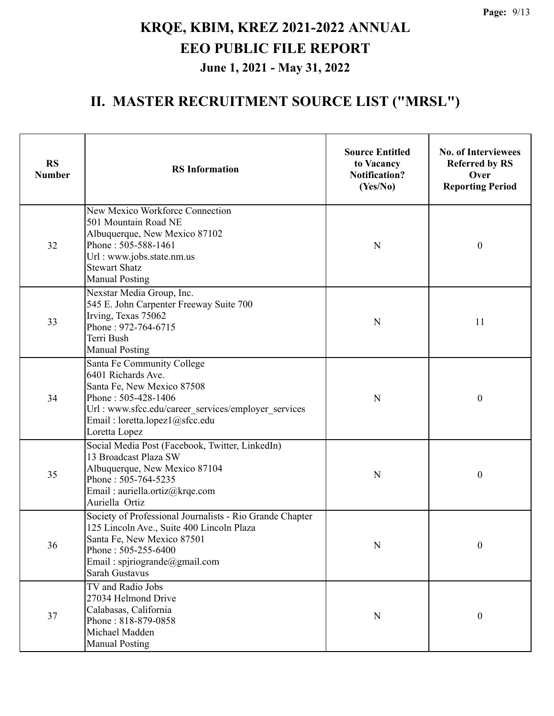| <b>RS</b><br><b>Number</b> | <b>RS</b> Information                                                                                                                                                                                           | <b>Source Entitled</b><br>to Vacancy<br><b>Notification?</b><br>(Yes/No) | <b>No. of Interviewees</b><br><b>Referred by RS</b><br>Over<br><b>Reporting Period</b> |
|----------------------------|-----------------------------------------------------------------------------------------------------------------------------------------------------------------------------------------------------------------|--------------------------------------------------------------------------|----------------------------------------------------------------------------------------|
| 32                         | New Mexico Workforce Connection<br>501 Mountain Road NE<br>Albuquerque, New Mexico 87102<br>Phone: 505-588-1461<br>Url: www.jobs.state.nm.us<br><b>Stewart Shatz</b><br><b>Manual Posting</b>                   | N                                                                        | $\boldsymbol{0}$                                                                       |
| 33                         | Nexstar Media Group, Inc.<br>545 E. John Carpenter Freeway Suite 700<br>Irving, Texas 75062<br>Phone: 972-764-6715<br>Terri Bush<br><b>Manual Posting</b>                                                       | N                                                                        | 11                                                                                     |
| 34                         | Santa Fe Community College<br>6401 Richards Ave.<br>Santa Fe, New Mexico 87508<br>Phone: 505-428-1406<br>Url: www.sfcc.edu/career services/employer services<br>Email: loretta.lopez1@sfcc.edu<br>Loretta Lopez | N                                                                        | $\boldsymbol{0}$                                                                       |
| 35                         | Social Media Post (Facebook, Twitter, LinkedIn)<br>13 Broadcast Plaza SW<br>Albuquerque, New Mexico 87104<br>Phone: 505-764-5235<br>Email: auriella.ortiz@krqe.com<br>Auriella Ortiz                            | N                                                                        | $\boldsymbol{0}$                                                                       |
| 36                         | Society of Professional Journalists - Rio Grande Chapter<br>125 Lincoln Ave., Suite 400 Lincoln Plaza<br>Santa Fe, New Mexico 87501<br>Phone: 505-255-6400<br>Email: spjriogrande@gmail.com<br>Sarah Gustavus   | N                                                                        | $\boldsymbol{0}$                                                                       |
| 37                         | TV and Radio Jobs<br>27034 Helmond Drive<br>Calabasas, California<br>Phone: 818-879-0858<br>Michael Madden<br><b>Manual Posting</b>                                                                             | ${\bf N}$                                                                | $\boldsymbol{0}$                                                                       |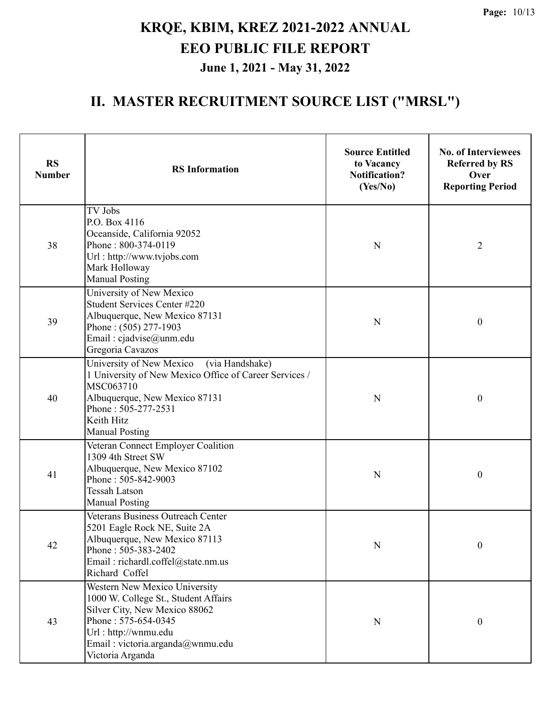| <b>RS</b><br><b>Number</b> | <b>RS</b> Information                                                                                                                                                                                             | <b>Source Entitled</b><br>to Vacancy<br><b>Notification?</b><br>(Yes/No) | <b>No. of Interviewees</b><br><b>Referred by RS</b><br>Over<br><b>Reporting Period</b> |
|----------------------------|-------------------------------------------------------------------------------------------------------------------------------------------------------------------------------------------------------------------|--------------------------------------------------------------------------|----------------------------------------------------------------------------------------|
| 38                         | TV Jobs<br>P.O. Box 4116<br>Oceanside, California 92052<br>Phone: 800-374-0119<br>Url: http://www.tvjobs.com<br>Mark Holloway<br><b>Manual Posting</b>                                                            | N                                                                        | $\overline{2}$                                                                         |
| 39                         | University of New Mexico<br>Student Services Center #220<br>Albuquerque, New Mexico 87131<br>Phone: (505) 277-1903<br>Email: cjadvise@unm.edu<br>Gregoria Cavazos                                                 | N                                                                        | $\boldsymbol{0}$                                                                       |
| 40                         | University of New Mexico<br>(via Handshake)<br>1 University of New Mexico Office of Career Services /<br>MSC063710<br>Albuquerque, New Mexico 87131<br>Phone: 505-277-2531<br>Keith Hitz<br><b>Manual Posting</b> | N                                                                        | $\boldsymbol{0}$                                                                       |
| 41                         | Veteran Connect Employer Coalition<br>1309 4th Street SW<br>Albuquerque, New Mexico 87102<br>Phone: 505-842-9003<br><b>Tessah Latson</b><br><b>Manual Posting</b>                                                 | N                                                                        | $\boldsymbol{0}$                                                                       |
| 42                         | Veterans Business Outreach Center<br>5201 Eagle Rock NE, Suite 2A<br>Albuquerque, New Mexico 87113<br>Phone: 505-383-2402<br>Email: richardl.coffel@state.nm.us<br>Richard Coffel                                 | N                                                                        | $\boldsymbol{0}$                                                                       |
| 43                         | Western New Mexico University<br>1000 W. College St., Student Affairs<br>Silver City, New Mexico 88062<br>Phone: 575-654-0345<br>Url: http://wnmu.edu<br>Email: victoria.arganda@wnmu.edu<br>Victoria Arganda     | $\mathbf N$                                                              | $\boldsymbol{0}$                                                                       |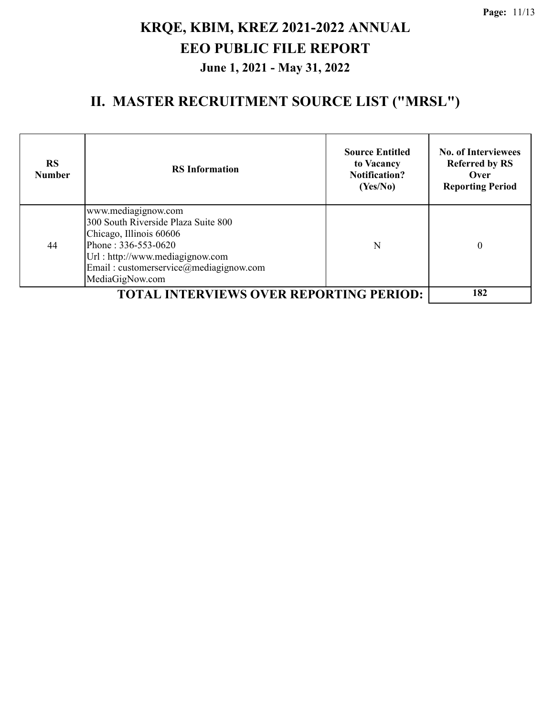| <b>RS</b><br><b>Number</b> | <b>RS</b> Information                                                                                                                                                                                        | <b>Source Entitled</b><br>to Vacancy<br><b>Notification?</b><br>(Yes/No) | <b>No. of Interviewees</b><br><b>Referred by RS</b><br>Over<br><b>Reporting Period</b> |
|----------------------------|--------------------------------------------------------------------------------------------------------------------------------------------------------------------------------------------------------------|--------------------------------------------------------------------------|----------------------------------------------------------------------------------------|
| 44                         | www.mediagignow.com<br>300 South Riverside Plaza Suite 800<br>Chicago, Illinois 60606<br>Phone: 336-553-0620<br>Url: http://www.mediagignow.com<br>Email: customerservice@mediagignow.com<br>MediaGigNow.com | N                                                                        | 0                                                                                      |
|                            | <b>TOTAL INTERVIEWS OVER REPORTING PERIOD:</b>                                                                                                                                                               |                                                                          | 182                                                                                    |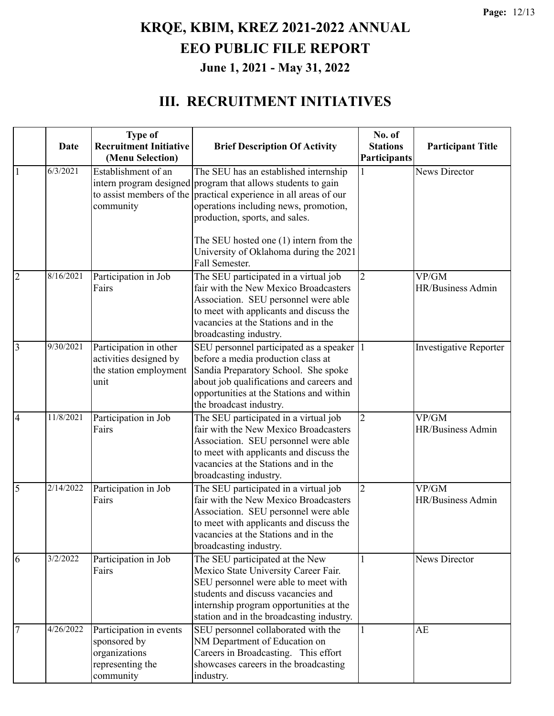### **III. RECRUITMENT INITIATIVES**

|                |           | <b>Type of</b>                                                                            |                                                                                                                                                                                                                                                                                                                                           | No. of                          |                               |
|----------------|-----------|-------------------------------------------------------------------------------------------|-------------------------------------------------------------------------------------------------------------------------------------------------------------------------------------------------------------------------------------------------------------------------------------------------------------------------------------------|---------------------------------|-------------------------------|
|                | Date      | <b>Recruitment Initiative</b><br>(Menu Selection)                                         | <b>Brief Description Of Activity</b>                                                                                                                                                                                                                                                                                                      | <b>Stations</b><br>Participants | <b>Participant Title</b>      |
| $\mathbf{1}$   | 6/3/2021  | Establishment of an<br>community                                                          | The SEU has an established internship<br>intern program designed program that allows students to gain<br>to assist members of the practical experience in all areas of our<br>operations including news, promotion,<br>production, sports, and sales.<br>The SEU hosted one (1) intern from the<br>University of Oklahoma during the 2021 |                                 | News Director                 |
| $\overline{2}$ | 8/16/2021 | Participation in Job<br>Fairs                                                             | Fall Semester.<br>The SEU participated in a virtual job<br>fair with the New Mexico Broadcasters<br>Association. SEU personnel were able<br>to meet with applicants and discuss the<br>vacancies at the Stations and in the<br>broadcasting industry.                                                                                     | $\overline{2}$                  | VP/GM<br>HR/Business Admin    |
| 3              | 9/30/2021 | Participation in other<br>activities designed by<br>the station employment<br>unit        | SEU personnel participated as a speaker  1<br>before a media production class at<br>Sandia Preparatory School. She spoke<br>about job qualifications and careers and<br>opportunities at the Stations and within<br>the broadcast industry.                                                                                               |                                 | <b>Investigative Reporter</b> |
| $\overline{4}$ | 11/8/2021 | Participation in Job<br>Fairs                                                             | The SEU participated in a virtual job<br>fair with the New Mexico Broadcasters<br>Association. SEU personnel were able<br>to meet with applicants and discuss the<br>vacancies at the Stations and in the<br>broadcasting industry.                                                                                                       | $\overline{2}$                  | VP/GM<br>HR/Business Admin    |
| 5              | 2/14/2022 | Participation in Job<br>Fairs                                                             | The SEU participated in a virtual job<br>fair with the New Mexico Broadcasters<br>Association. SEU personnel were able<br>to meet with applicants and discuss the<br>vacancies at the Stations and in the<br>broadcasting industry.                                                                                                       | $\overline{2}$                  | VP/GM<br>HR/Business Admin    |
| 6              | 3/2/2022  | Participation in Job<br>Fairs                                                             | The SEU participated at the New<br>Mexico State University Career Fair.<br>SEU personnel were able to meet with<br>students and discuss vacancies and<br>internship program opportunities at the<br>station and in the broadcasting industry.                                                                                             |                                 | <b>News Director</b>          |
| 7              | 4/26/2022 | Participation in events<br>sponsored by<br>organizations<br>representing the<br>community | SEU personnel collaborated with the<br>NM Department of Education on<br>Careers in Broadcasting. This effort<br>showcases careers in the broadcasting<br>industry.                                                                                                                                                                        |                                 | AE                            |